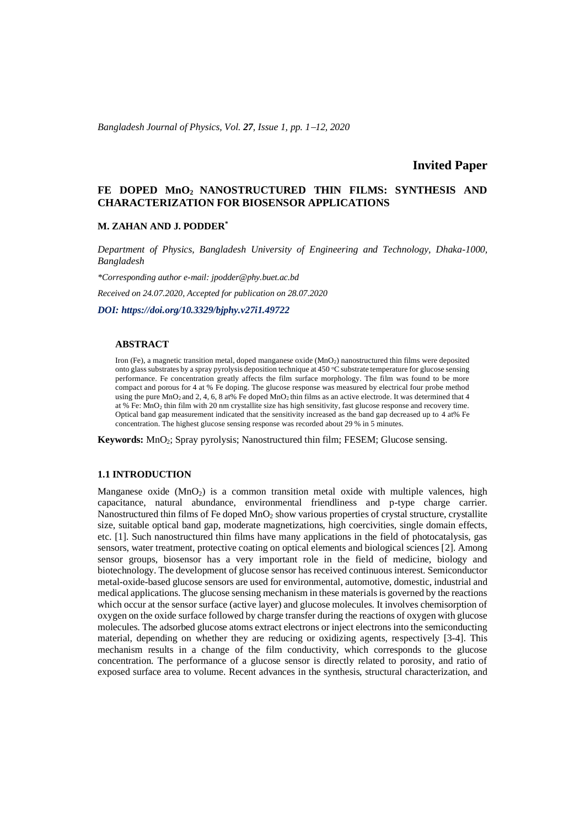*Bangladesh Journal of Physics, Vol. 27, Issue 1, pp. 1*−*12, 2020*

# **Invited Paper**

# **FE DOPED MnO2 NANOSTRUCTURED THIN FILMS: SYNTHESIS AND CHARACTERIZATION FOR BIOSENSOR APPLICATIONS**

### **M. ZAHAN AND J. PODDER\***

*Department of Physics, Bangladesh University of Engineering and Technology, Dhaka-1000, Bangladesh*

*\*Corresponding author e-mail: jpodder@phy.buet.ac.bd*

*Received on 24.07.2020, Accepted for publication on 28.07.2020*

*DOI: https://doi.org/10.3329/bjphy.v27i1.49722*

#### **ABSTRACT**

Iron (Fe), a magnetic transition metal, doped manganese oxide (MnO2) nanostructured thin films were deposited onto glass substrates by a spray pyrolysis deposition technique at 450 °C substrate temperature for glucose sensing performance. Fe concentration greatly affects the film surface morphology. The film was found to be more compact and porous for 4 at % Fe doping. The glucose response was measured by electrical four probe method using the pure  $MnO_2$  and 2, 4, 6, 8 at% Fe doped  $MnO_2$  thin films as an active electrode. It was determined that 4 at % Fe: MnO<sup>2</sup> thin film with 20 nm crystallite size has high sensitivity, fast glucose response and recovery time. Optical band gap measurement indicated that the sensitivity increased as the band gap decreased up to 4 at% Fe concentration. The highest glucose sensing response was recorded about 29 % in 5 minutes.

**Keywords:** MnO2; Spray pyrolysis; Nanostructured thin film; FESEM; Glucose sensing.

#### **1.1 INTRODUCTION**

Manganese oxide (MnO<sub>2</sub>) is a common transition metal oxide with multiple valences, high capacitance, natural abundance, environmental friendliness and p-type charge carrier. Nanostructured thin films of Fe doped MnO<sub>2</sub> show various properties of crystal structure, crystallite size, suitable optical band gap, moderate magnetizations, high coercivities, single domain effects, etc. [1]. Such nanostructured thin films have many applications in the field of photocatalysis, gas sensors, water treatment, protective coating on optical elements and biological sciences [2]. Among sensor groups, biosensor has a very important role in the field of medicine, biology and biotechnology. The development of glucose sensor has received continuous interest. Semiconductor metal-oxide-based glucose sensors are used for environmental, automotive, domestic, industrial and medical applications. The glucose sensing mechanism in these materials is governed by the reactions which occur at the sensor surface (active layer) and glucose molecules. It involves chemisorption of oxygen on the oxide surface followed by charge transfer during the reactions of oxygen with glucose molecules. The adsorbed glucose atoms extract electrons or inject electrons into the semiconducting material, depending on whether they are reducing or oxidizing agents, respectively [3-4]. This mechanism results in a change of the film conductivity, which corresponds to the glucose concentration. The performance of a glucose sensor is directly related to porosity, and ratio of exposed surface area to volume. Recent advances in the synthesis, structural characterization, and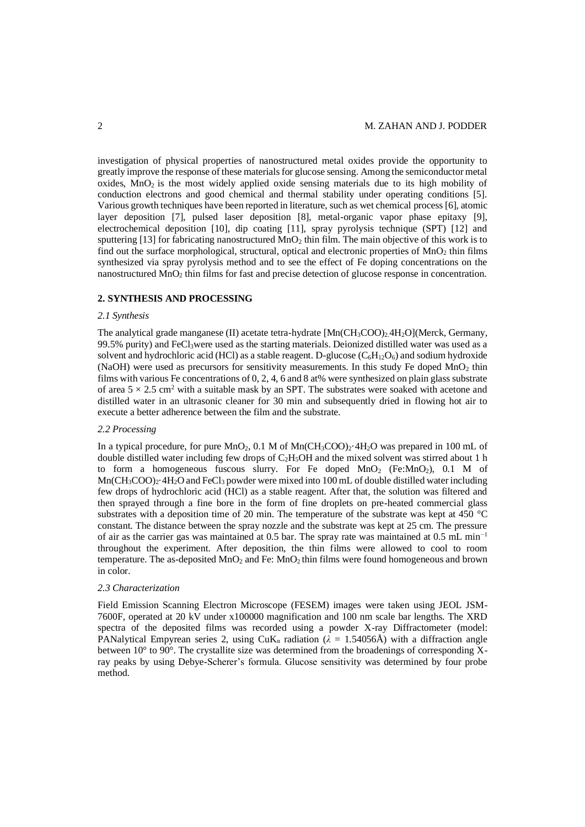investigation of physical properties of nanostructured metal oxides provide the opportunity to greatly improve the response of these materials for glucose sensing. Among the semiconductor metal  $\overline{\text{oxides}}$ , MnO<sub>2</sub> is the most widely applied oxide sensing materials due to its high mobility of conduction electrons and good chemical and thermal stability under operating conditions [5]. Various growth techniques have been reported in literature, such as wet chemical process [6], atomic layer deposition [7], pulsed laser deposition [8], metal-organic vapor phase epitaxy [9], electrochemical deposition [10], dip coating [11], spray pyrolysis technique (SPT) [12] and sputtering [13] for fabricating nanostructured  $MnO<sub>2</sub>$  thin film. The main objective of this work is to find out the surface morphological, structural, optical and electronic properties of  $MnO<sub>2</sub>$  thin films synthesized via spray pyrolysis method and to see the effect of Fe doping concentrations on the nanostructured MnO<sub>2</sub> thin films for fast and precise detection of glucose response in concentration.

### **2. SYNTHESIS AND PROCESSING**

## *2.1 Synthesis*

The analytical grade manganese (II) acetate tetra-hydrate  $[Mn(CH_3COO)_2.4H_2O](Merck, Germany,$  $99.5\%$  purity) and FeCl<sub>3</sub>were used as the starting materials. Deionized distilled water was used as a solvent and hydrochloric acid (HCl) as a stable reagent. D-glucose  $(C_6H_{12}O_6)$  and sodium hydroxide (NaOH) were used as precursors for sensitivity measurements. In this study Fe doped  $MnO<sub>2</sub>$  thin films with various Fe concentrations of 0, 2, 4, 6 and 8 at% were synthesized on plain glass substrate of area  $5 \times 2.5$  cm<sup>2</sup> with a suitable mask by an SPT. The substrates were soaked with acetone and distilled water in an ultrasonic cleaner for 30 min and subsequently dried in flowing hot air to execute a better adherence between the film and the substrate.

#### *2.2 Processing*

In a typical procedure, for pure  $MnO<sub>2</sub>$ , 0.1 M of  $Mn(CH<sub>3</sub>COO)<sub>2</sub>·4H<sub>2</sub>O$  was prepared in 100 mL of double distilled water including few drops of  $C_2H_3OH$  and the mixed solvent was stirred about 1 h to form a homogeneous fuscous slurry. For Fe doped MnO<sub>2</sub> (Fe:MnO<sub>2</sub>), 0.1 M of  $Mn(CH_3COO)_2$ <sup>2</sup>  $4H_2O$  and FeCl<sub>3</sub> powder were mixed into 100 mL of double distilled water including few drops of hydrochloric acid (HCl) as a stable reagent. After that, the solution was filtered and then sprayed through a fine bore in the form of fine droplets on pre-heated commercial glass substrates with a deposition time of 20 min. The temperature of the substrate was kept at 450 °C constant. The distance between the spray nozzle and the substrate was kept at 25 cm. The pressure of air as the carrier gas was maintained at 0.5 bar. The spray rate was maintained at 0.5 mL min−1 throughout the experiment. After deposition, the thin films were allowed to cool to room temperature. The as-deposited  $MnO_2$  and Fe:  $MnO_2$  thin films were found homogeneous and brown in color.

### *2.3 Characterization*

Field Emission Scanning Electron Microscope (FESEM) images were taken using JEOL JSM-7600F, operated at 20 kV under x100000 magnification and 100 nm scale bar lengths. The XRD spectra of the deposited films was recorded using a powder X-ray Diffractometer (model: PANalytical Empyrean series 2, using  $CuK_a$  radiation ( $\lambda = 1.54056\text{\AA}$ ) with a diffraction angle between 10° to 90°. The crystallite size was determined from the broadenings of corresponding Xray peaks by using Debye-Scherer's formula. Glucose sensitivity was determined by four probe method.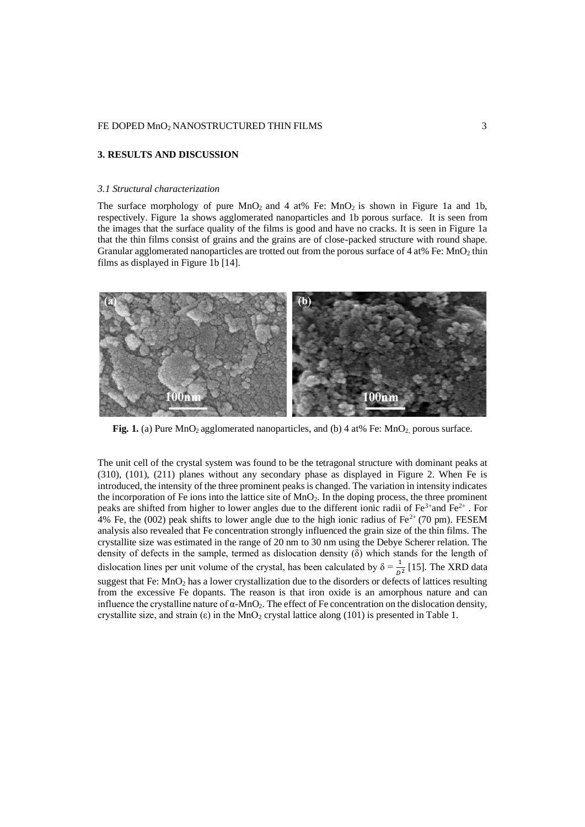### **3. RESULTS AND DISCUSSION**

#### *3.1 Structural characterization*

The surface morphology of pure  $MnO<sub>2</sub>$  and 4 at% Fe:  $MnO<sub>2</sub>$  is shown in Figure 1a and 1b, respectively. Figure 1a shows agglomerated nanoparticles and 1b porous surface. It is seen from the images that the surface quality of the films is good and have no cracks. It is seen in Figure 1a that the thin films consist of grains and the grains are of close-packed structure with round shape. Granular agglomerated nanoparticles are trotted out from the porous surface of 4 at% Fe: MnO<sub>2</sub> thin films as displayed in Figure 1b [14].



**Fig. 1.** (a) Pure MnO<sub>2</sub> agglomerated nanoparticles, and (b) 4 at% Fe: MnO<sub>2</sub> porous surface.

The unit cell of the crystal system was found to be the tetragonal structure with dominant peaks at (310), (101), (211) planes without any secondary phase as displayed in Figure 2. When Fe is introduced, the intensity of the three prominent peaks is changed. The variation in intensity indicates the incorporation of Fe ions into the lattice site of MnO2. In the doping process, the three prominent peaks are shifted from higher to lower angles due to the different ionic radii of  $Fe^{3+}$ and  $Fe^{2+}$ . For 4% Fe, the (002) peak shifts to lower angle due to the high ionic radius of Fe<sup>2+</sup> (70 pm). FESEM analysis also revealed that Fe concentration strongly influenced the grain size of the thin films. The crystallite size was estimated in the range of 20 nm to 30 nm using the Debye Scherer relation. The density of defects in the sample, termed as dislocation density (δ) which stands for the length of dislocation lines per unit volume of the crystal, has been calculated by  $\delta = \frac{1}{D^2}$  [15]. The XRD data suggest that Fe: MnO<sup>2</sup> has a lower crystallization due to the disorders or defects of lattices resulting from the excessive Fe dopants. The reason is that iron oxide is an amorphous nature and can influence the crystalline nature of  $\alpha$ -MnO<sub>2</sub>. The effect of Fe concentration on the dislocation density, crystallite size, and strain  $(\epsilon)$  in the MnO<sub>2</sub> crystal lattice along (101) is presented in Table 1.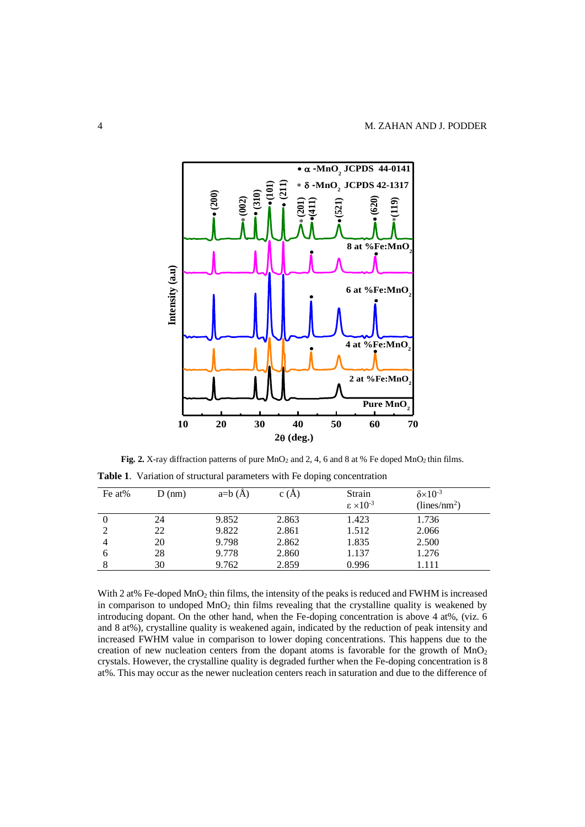

Fig. 2. X-ray diffraction patterns of pure MnO<sub>2</sub> and 2, 4, 6 and 8 at % Fe doped MnO<sub>2</sub> thin films.

|                |                                    |                                    |              | Table 1. Variation of structural parameters with Fe doping concentration |
|----------------|------------------------------------|------------------------------------|--------------|--------------------------------------------------------------------------|
| $E_0$ ot $0/2$ | $\mathbf{D}(\mathbf{n}\mathbf{m})$ | $\sim$ $\sim$ $\sim$ $\sim$ $\sim$ | $\alpha$ (A) | $Q_{train}$                                                              |

| Fe at% | $D$ (nm) | $a=b(A)$ | C(A)  | Strain                    | $\delta \times 10^{-3}$  |
|--------|----------|----------|-------|---------------------------|--------------------------|
|        |          |          |       | $\epsilon \times 10^{-3}$ | (lines/nm <sup>2</sup> ) |
|        | 24       | 9.852    | 2.863 | 1.423                     | 1.736                    |
| 2      | 22       | 9.822    | 2.861 | 1.512                     | 2.066                    |
| 4      | 20       | 9.798    | 2.862 | 1.835                     | 2.500                    |
| 6      | 28       | 9.778    | 2.860 | 1.137                     | 1.276                    |
|        | 30       | 9.762    | 2.859 | 0.996                     | 1.111                    |

With 2 at% Fe-doped MnO<sub>2</sub> thin films, the intensity of the peaks is reduced and FWHM is increased in comparison to undoped  $MnO<sub>2</sub>$  thin films revealing that the crystalline quality is weakened by introducing dopant. On the other hand, when the Fe-doping concentration is above 4 at%, (viz. 6 and 8 at%), crystalline quality is weakened again, indicated by the reduction of peak intensity and increased FWHM value in comparison to lower doping concentrations. This happens due to the creation of new nucleation centers from the dopant atoms is favorable for the growth of  $MnO<sub>2</sub>$ crystals. However, the crystalline quality is degraded further when the Fe-doping concentration is 8 at%. This may occur as the newer nucleation centers reach in saturation and due to the difference of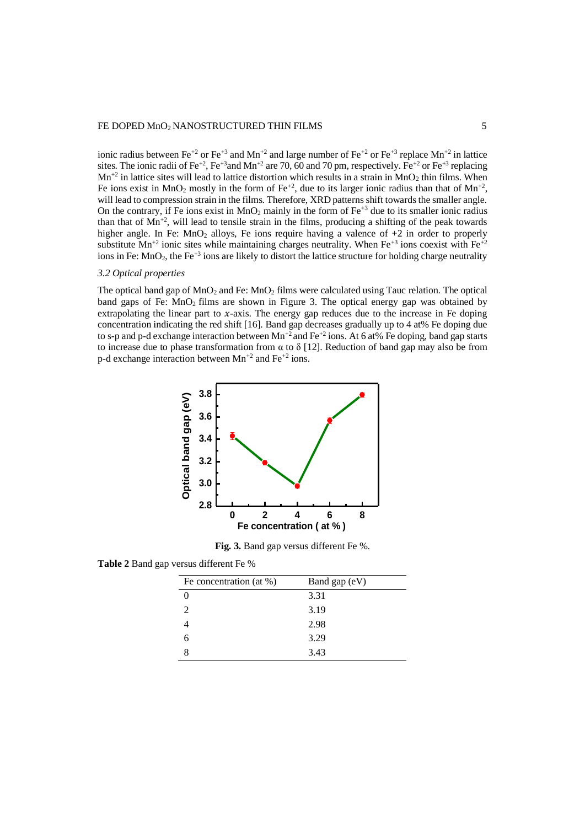## FE DOPED MnO<sub>2</sub> NANOSTRUCTURED THIN FILMS 5

ionic radius between Fe<sup>+2</sup> or Fe<sup>+3</sup> and Mn<sup>+2</sup> and large number of Fe<sup>+2</sup> or Fe<sup>+3</sup> replace Mn<sup>+2</sup> in lattice sites. The ionic radii of Fe<sup>+2</sup>, Fe<sup>+3</sup>and Mn<sup>+2</sup> are 70, 60 and 70 pm, respectively. Fe<sup>+2</sup> or Fe<sup>+3</sup> replacing  $Mn^{2}$  in lattice sites will lead to lattice distortion which results in a strain in  $MnO<sub>2</sub>$  thin films. When Fe ions exist in MnO<sub>2</sub> mostly in the form of Fe<sup>+2</sup>, due to its larger ionic radius than that of Mn<sup>+2</sup>, will lead to compression strain in the films. Therefore, XRD patterns shift towards the smaller angle. On the contrary, if Fe ions exist in  $MnO_2$  mainly in the form of Fe<sup>+3</sup> due to its smaller ionic radius than that of  $Mn^{2}$ , will lead to tensile strain in the films, producing a shifting of the peak towards higher angle. In Fe:  $MnO<sub>2</sub>$  alloys, Fe ions require having a valence of  $+2$  in order to properly substitute Mn<sup>+2</sup> ionic sites while maintaining charges neutrality. When Fe<sup>+3</sup> ions coexist with Fe<sup>+2</sup> ions in Fe:  $MnO_2$ , the Fe<sup>+3</sup> ions are likely to distort the lattice structure for holding charge neutrality

### *3.2 Optical properties*

The optical band gap of  $MnO_2$  and Fe:  $MnO_2$  films were calculated using Tauc relation. The optical band gaps of Fe:  $MnO<sub>2</sub>$  films are shown in Figure 3. The optical energy gap was obtained by extrapolating the linear part to  $x$ -axis. The energy gap reduces due to the increase in Fe doping concentration indicating the red shift [16]. Band gap decreases gradually up to 4 at% Fe doping due to s-p and p-d exchange interaction between  $Mn^{2}$  and Fe<sup>+2</sup> ions. At 6 at% Fe doping, band gap starts to increase due to phase transformation from  $\alpha$  to  $\delta$  [12]. Reduction of band gap may also be from p-d exchange interaction between  $Mn^{+2}$  and  $Fe^{+2}$  ions.



**Fig. 3.** Band gap versus different Fe %.

**Table 2** Band gap versus different Fe %

| Fe concentration (at $\%$ ) | Band gap (eV) |
|-----------------------------|---------------|
|                             | 3.31          |
| $\mathcal{D}_{\mathcal{L}}$ | 3.19          |
|                             | 2.98          |
| 6                           | 3.29          |
|                             | 3.43          |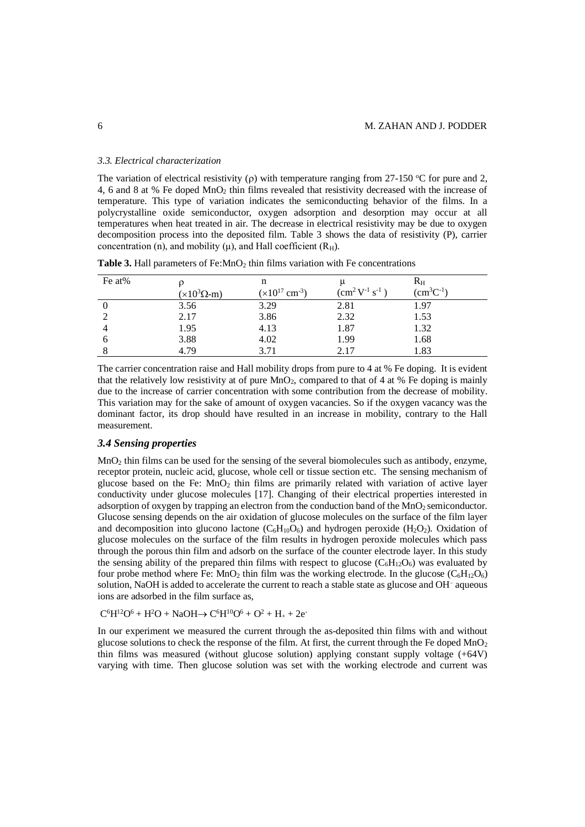#### *3.3. Electrical characterization*

The variation of electrical resistivity ( $\rho$ ) with temperature ranging from 27-150 °C for pure and 2, 4, 6 and 8 at % Fe doped MnO<sup>2</sup> thin films revealed that resistivity decreased with the increase of temperature. This type of variation indicates the semiconducting behavior of the films. In a polycrystalline oxide semiconductor, oxygen adsorption and desorption may occur at all temperatures when heat treated in air. The decrease in electrical resistivity may be due to oxygen decomposition process into the deposited film. Table 3 shows the data of resistivity (P), carrier concentration (n), and mobility (μ), and Hall coefficient  $(R<sub>H</sub>)$ .

| Fe at% |                            | n                              |                          | $R_{\rm H}$    |
|--------|----------------------------|--------------------------------|--------------------------|----------------|
|        | $(\times 10^3 \Omega - m)$ | $(x10^{17}$ cm <sup>-3</sup> ) | $\rm (cm^2 V^{1} s^{1})$ | $(cm^3C^{-1})$ |
|        | 3.56                       | 3.29                           | 2.81                     | 1.97           |
|        | 2.17                       | 3.86                           | 2.32                     | 1.53           |
|        | 1.95                       | 4.13                           | 1.87                     | 1.32           |
| 6      | 3.88                       | 4.02                           | 1.99                     | 1.68           |
|        | 4.79                       | 3.71                           | 2.17                     | 1.83           |

**Table 3.** Hall parameters of Fe:MnO<sub>2</sub> thin films variation with Fe concentrations

The carrier concentration raise and Hall mobility drops from pure to 4 at % Fe doping. It is evident that the relatively low resistivity at of pure  $MnO_2$ , compared to that of 4 at % Fe doping is mainly due to the increase of carrier concentration with some contribution from the decrease of mobility. This variation may for the sake of amount of oxygen vacancies. So if the oxygen vacancy was the dominant factor, its drop should have resulted in an increase in mobility, contrary to the Hall measurement.

#### *3.4 Sensing properties*

 $MnO<sub>2</sub>$  thin films can be used for the sensing of the several biomolecules such as antibody, enzyme, receptor protein, nucleic acid, glucose, whole cell or tissue section etc. The sensing mechanism of glucose based on the Fe:  $MnO<sub>2</sub>$  thin films are primarily related with variation of active layer conductivity under glucose molecules [17]. Changing of their electrical properties interested in adsorption of oxygen by trapping an electron from the conduction band of the  $MnO<sub>2</sub>$  semiconductor. Glucose sensing depends on the air oxidation of glucose molecules on the surface of the film layer and decomposition into glucono lactone  $(C_6H_{10}O_6)$  and hydrogen peroxide (H<sub>2</sub>O<sub>2</sub>). Oxidation of glucose molecules on the surface of the film results in hydrogen peroxide molecules which pass through the porous thin film and adsorb on the surface of the counter electrode layer. In this study the sensing ability of the prepared thin films with respect to glucose  $(C_6H_{12}O_6)$  was evaluated by four probe method where Fe:  $MnO_2$  thin film was the working electrode. In the glucose  $(C_6H_{12}O_6)$ solution, NaOH is added to accelerate the current to reach a stable state as glucose and OH<sup>-</sup> aqueous ions are adsorbed in the film surface as,

 $C^6H^{12}O^6 + H^2O + NaOH \rightarrow C^6H^{10}O^6 + O^2 + H_+ + 2e^-$ 

In our experiment we measured the current through the as-deposited thin films with and without glucose solutions to check the response of the film. At first, the current through the Fe doped MnO<sub>2</sub> thin films was measured (without glucose solution) applying constant supply voltage (+64V) varying with time. Then glucose solution was set with the working electrode and current was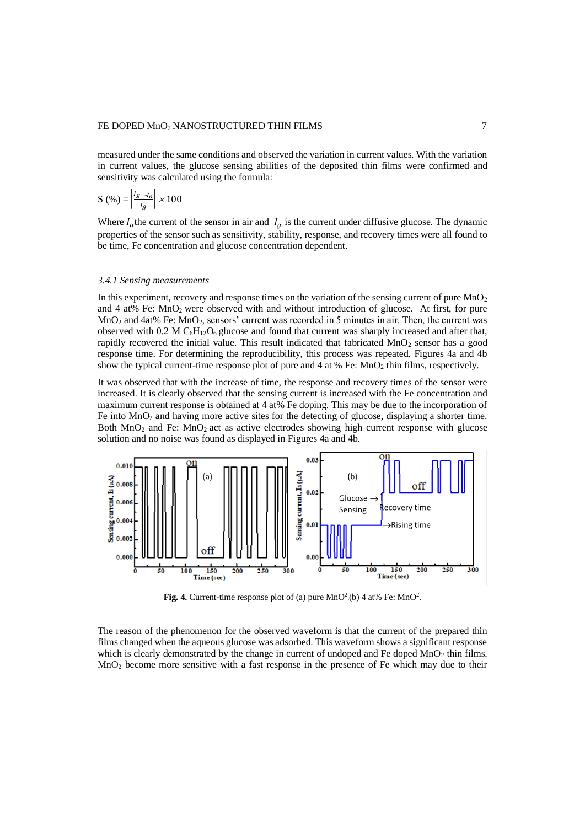## FE DOPED MnO<sub>2</sub> NANOSTRUCTURED THIN FILMS 7

measured under the same conditions and observed the variation in current values. With the variation in current values, the glucose sensing abilities of the deposited thin films were confirmed and sensitivity was calculated using the formula:

$$
S\left(\% \right) = \left| \frac{I_g \sim I_a}{I_g} \right| \times 100
$$

Where  $I_a$ the current of the sensor in air and  $I_a$  is the current under diffusive glucose. The dynamic properties of the sensor such as sensitivity, stability, response, and recovery times were all found to be time, Fe concentration and glucose concentration dependent.

#### *3.4.1 Sensing measurements*

In this experiment, recovery and response times on the variation of the sensing current of pure MnO<sub>2</sub> and 4 at% Fe:  $MnO<sub>2</sub>$  were observed with and without introduction of glucose. At first, for pure MnO<sup>2</sup> and 4at% Fe: MnO2, sensors' current was recorded in 5 minutes in air. Then, the current was observed with 0.2 M  $C_6H_{12}O_6$  glucose and found that current was sharply increased and after that, rapidly recovered the initial value. This result indicated that fabricated  $MnO<sub>2</sub>$  sensor has a good response time. For determining the reproducibility, this process was repeated. Figures 4a and 4b show the typical current-time response plot of pure and 4 at % Fe:  $MnO<sub>2</sub>$  thin films, respectively.

It was observed that with the increase of time, the response and recovery times of the sensor were increased. It is clearly observed that the sensing current is increased with the Fe concentration and maximum current response is obtained at 4 at% Fe doping. This may be due to the incorporation of Fe into  $MnO<sub>2</sub>$  and having more active sites for the detecting of glucose, displaying a shorter time. Both MnO<sub>2</sub> and Fe: MnO<sub>2</sub> act as active electrodes showing high current response with glucose solution and no noise was found as displayed in Figures 4a and 4b.



Fig. 4. Current-time response plot of (a) pure  $MnO<sup>2</sup>$ . (b) 4 at% Fe:  $MnO<sup>2</sup>$ .

The reason of the phenomenon for the observed waveform is that the current of the prepared thin films changed when the aqueous glucose was adsorbed. This waveform shows a significant response which is clearly demonstrated by the change in current of undoped and Fe doped  $MnO<sub>2</sub>$  thin films. MnO<sup>2</sup> become more sensitive with a fast response in the presence of Fe which may due to their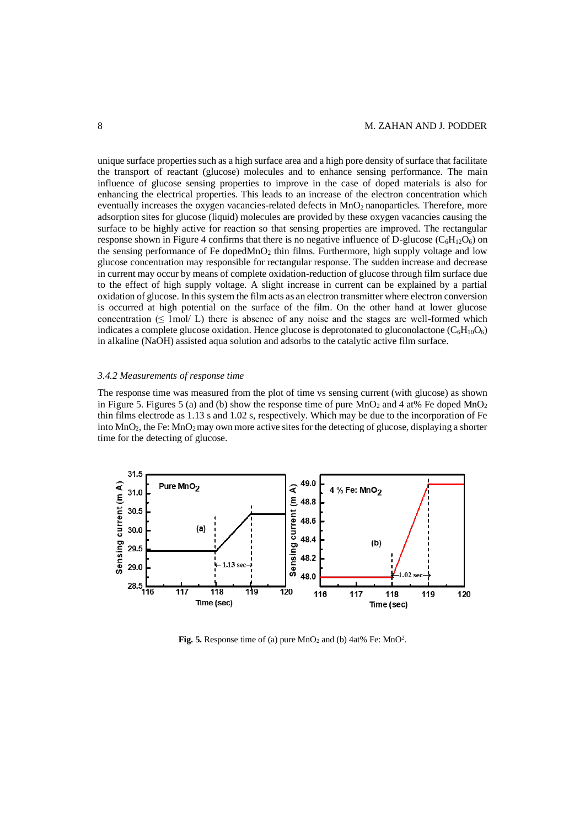unique surface properties such as a high surface area and a high pore density of surface that facilitate the transport of reactant (glucose) molecules and to enhance sensing performance. The main influence of glucose sensing properties to improve in the case of doped materials is also for enhancing the electrical properties. This leads to an increase of the electron concentration which eventually increases the oxygen vacancies-related defects in MnO<sub>2</sub> nanoparticles. Therefore, more adsorption sites for glucose (liquid) molecules are provided by these oxygen vacancies causing the surface to be highly active for reaction so that sensing properties are improved. The rectangular response shown in Figure 4 confirms that there is no negative influence of D-glucose ( $C_6H_{12}O_6$ ) on the sensing performance of Fe doped $MnO_2$  thin films. Furthermore, high supply voltage and low glucose concentration may responsible for rectangular response. The sudden increase and decrease in current may occur by means of complete oxidation-reduction of glucose through film surface due to the effect of high supply voltage. A slight increase in current can be explained by a partial oxidation of glucose. In this system the film acts as an electron transmitter where electron conversion is occurred at high potential on the surface of the film. On the other hand at lower glucose concentration  $(\leq 1 \text{ mol}/ L)$  there is absence of any noise and the stages are well-formed which indicates a complete glucose oxidation. Hence glucose is deprotonated to gluconolactone  $(C_6H_{10}O_6)$ in alkaline (NaOH) assisted aqua solution and adsorbs to the catalytic active film surface.

#### *3.4.2 Measurements of response time*

The response time was measured from the plot of time vs sensing current (with glucose) as shown in Figure 5. Figures 5 (a) and (b) show the response time of pure MnO<sub>2</sub> and 4 at% Fe doped MnO<sub>2</sub> thin films electrode as 1.13 s and 1.02 s, respectively. Which may be due to the incorporation of Fe into  $MnO<sub>2</sub>$ , the Fe:  $MnO<sub>2</sub>$  may own more active sites for the detecting of glucose, displaying a shorter time for the detecting of glucose.



**Fig. 5.** Response time of (a) pure  $MnO<sub>2</sub>$  and (b)  $4at\%$  Fe:  $MnO<sup>2</sup>$ .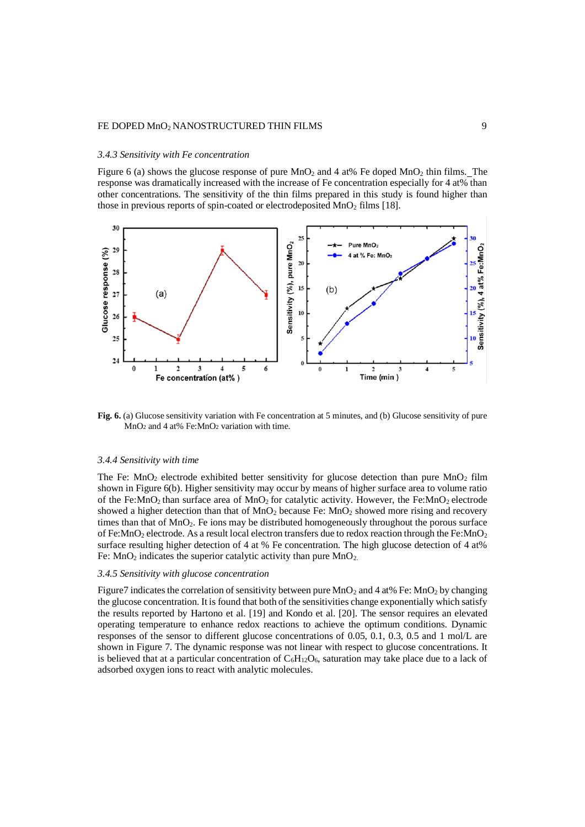## FE DOPED MnO<sub>2</sub> NANOSTRUCTURED THIN FILMS 9

#### *3.4.3 Sensitivity with Fe concentration*

Figure 6 (a) shows the glucose response of pure  $MnO<sub>2</sub>$  and 4 at% Fe doped  $MnO<sub>2</sub>$  thin films. The response was dramatically increased with the increase of Fe concentration especially for 4 at% than other concentrations. The sensitivity of the thin films prepared in this study is found higher than those in previous reports of spin-coated or electrodeposited  $MnO<sub>2</sub>$  films [18].



**Fig. 6.** (a) Glucose sensitivity variation with Fe concentration at 5 minutes, and (b) Glucose sensitivity of pure  $MnO<sub>2</sub>$  and 4 at% Fe: $MnO<sub>2</sub>$  variation with time.

#### *3.4.4 Sensitivity with time*

The Fe:  $MnO_2$  electrode exhibited better sensitivity for glucose detection than pure  $MnO_2$  film shown in Figure 6(b). Higher sensitivity may occur by means of higher surface area to volume ratio of the Fe: MnO<sub>2</sub> than surface area of MnO<sub>2</sub> for catalytic activity. However, the Fe: MnO<sub>2</sub> electrode showed a higher detection than that of  $MnO<sub>2</sub>$  because Fe:  $MnO<sub>2</sub>$  showed more rising and recovery times than that of  $MnO_2$ . Fe ions may be distributed homogeneously throughout the porous surface of Fe:MnO<sub>2</sub> electrode. As a result local electron transfers due to redox reaction through the Fe:MnO<sub>2</sub> surface resulting higher detection of 4 at % Fe concentration. The high glucose detection of 4 at% Fe:  $MnO<sub>2</sub>$  indicates the superior catalytic activity than pure  $MnO<sub>2</sub>$ .

### *3.4.5 Sensitivity with glucose concentration*

Figure 7 indicates the correlation of sensitivity between pure  $MnO<sub>2</sub>$  and 4 at % Fe: MnO<sub>2</sub> by changing the glucose concentration. It is found that both of the sensitivities change exponentially which satisfy the results reported by Hartono et al. [19] and Kondo et al. [20]. The sensor requires an elevated operating temperature to enhance redox reactions to achieve the optimum conditions. Dynamic responses of the sensor to different glucose concentrations of 0.05, 0.1, 0.3, 0.5 and 1 mol/L are shown in Figure 7. The dynamic response was not linear with respect to glucose concentrations. It is believed that at a particular concentration of  $C_6H_{12}O_6$ , saturation may take place due to a lack of adsorbed oxygen ions to react with analytic molecules.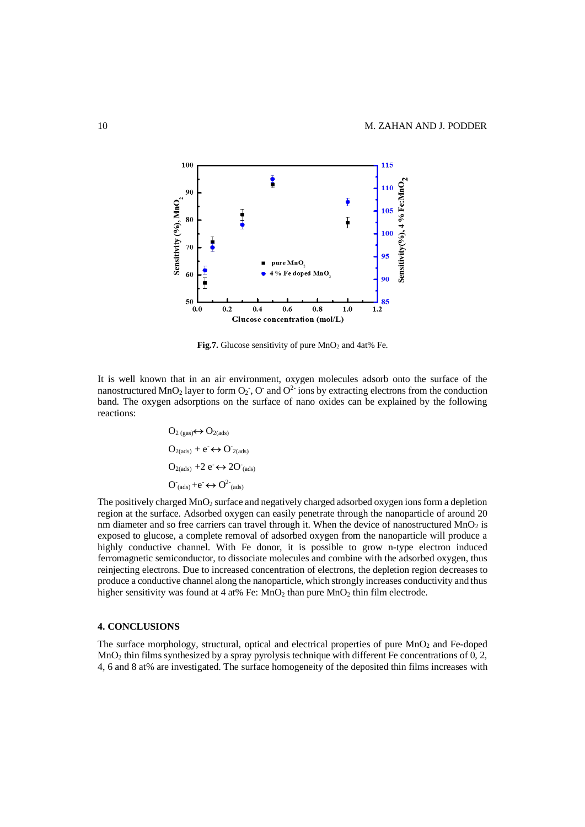

Fig.7. Glucose sensitivity of pure MnO<sub>2</sub> and 4at% Fe.

It is well known that in an air environment, oxygen molecules adsorb onto the surface of the nanostructured MnO<sub>2</sub> layer to form  $O_2$ , O and  $O^2$  ions by extracting electrons from the conduction band. The oxygen adsorptions on the surface of nano oxides can be explained by the following reactions:

$$
O_{2 (gas)} \leftrightarrow O_{2 (ads)}
$$
\n
$$
O_{2 (ads)} + e^{-} \leftrightarrow O_{2 (ads)}
$$
\n
$$
O_{2 (ads)} + 2 e^{-} \leftrightarrow 2 O_{(ads)}
$$
\n
$$
O_{(ads)} + e^{-} \leftrightarrow O_{(ads)}^{2}
$$

The positively charged  $MnO<sub>2</sub>$  surface and negatively charged adsorbed oxygen ions form a depletion region at the surface. Adsorbed oxygen can easily penetrate through the nanoparticle of around 20 nm diameter and so free carriers can travel through it. When the device of nanostructured  $MnO<sub>2</sub>$  is exposed to glucose, a complete removal of adsorbed oxygen from the nanoparticle will produce a highly conductive channel. With Fe donor, it is possible to grow n-type electron induced ferromagnetic semiconductor, to dissociate molecules and combine with the adsorbed oxygen, thus reinjecting electrons. Due to increased concentration of electrons, the depletion region decreases to produce a conductive channel along the nanoparticle, which strongly increases conductivity and thus higher sensitivity was found at 4 at% Fe:  $MnO<sub>2</sub>$  than pure  $MnO<sub>2</sub>$  thin film electrode.

#### **4. CONCLUSIONS**

The surface morphology, structural, optical and electrical properties of pure MnO<sub>2</sub> and Fe-doped MnO<sup>2</sup> thin films synthesized by a spray pyrolysis technique with different Fe concentrations of 0, 2, 4, 6 and 8 at% are investigated. The surface homogeneity of the deposited thin films increases with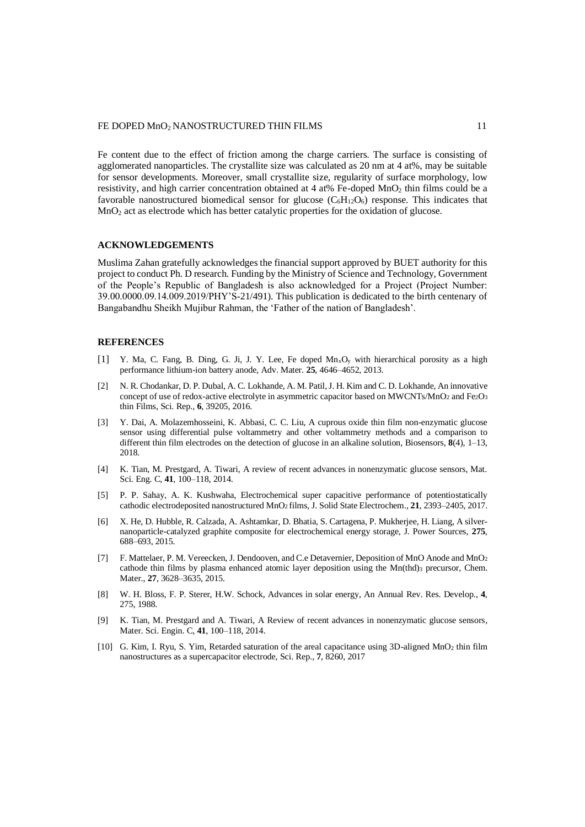Fe content due to the effect of friction among the charge carriers. The surface is consisting of agglomerated nanoparticles. The crystallite size was calculated as 20 nm at 4 at%, may be suitable for sensor developments. Moreover, small crystallite size, regularity of surface morphology, low resistivity, and high carrier concentration obtained at 4 at% Fe-doped MnO<sub>2</sub> thin films could be a favorable nanostructured biomedical sensor for glucose  $(C_6H_{12}O_6)$  response. This indicates that  $MnO<sub>2</sub>$  act as electrode which has better catalytic properties for the oxidation of glucose.

## **ACKNOWLEDGEMENTS**

Muslima Zahan gratefully acknowledges the financial support approved by BUET authority for this project to conduct Ph. D research. Funding by the Ministry of Science and Technology, Government of the People's Republic of Bangladesh is also acknowledged for a Project (Project Number: 39.00.0000.09.14.009.2019/PHY'S-21/491). This publication is dedicated to the birth centenary of Bangabandhu Sheikh Mujibur Rahman, the 'Father of the nation of Bangladesh'.

### **REFERENCES**

- [1] Y. Ma, C. Fang, B. Ding, G. Ji, J. Y. Lee, Fe doped MnxO<sup>y</sup> with hierarchical porosity as a high performance lithium-ion battery anode, Adv. Mater. **25**, 4646–4652, 2013.
- [2] N. R. Chodankar, D. P. Dubal, A. C. Lokhande, A. M. Patil, J. H. Kim and C. D. Lokhande, An innovative concept of use of redox-active electrolyte in asymmetric capacitor based on MWCNTs/MnO<sub>2</sub> and Fe<sub>2</sub>O<sub>3</sub> thin Films, Sci. Rep., **6**, 39205, 2016.
- [3] Y. Dai, A. Molazemhosseini, K. Abbasi, C. C. Liu, A cuprous oxide thin film non-enzymatic glucose sensor using differential pulse voltammetry and other voltammetry methods and a comparison to different thin film electrodes on the detection of glucose in an alkaline solution, Biosensors, **8**(4), 1–13, 2018.
- [4] K. Tian, M. Prestgard, A. Tiwari, A review of recent advances in nonenzymatic glucose sensors, Mat. Sci. Eng. C, **41**, 100–118, 2014.
- [5] P. P. Sahay, A. K. Kushwaha, Electrochemical super capacitive performance of potentiostatically cathodic electrodeposited nanostructured MnO2 films, J. Solid State Electrochem., **21**, 2393–2405, 2017.
- [6] X. He, D. Hubble, R. Calzada, A. Ashtamkar, D. Bhatia, S. Cartagena, P. Mukherjee, H. Liang, A silvernanoparticle-catalyzed graphite composite for electrochemical energy storage, J. Power Sources, **275**, 688–693, 2015.
- [7] F. Mattelaer, P. M. Vereecken, J. Dendooven, and C.e Detavernier, Deposition of MnO Anode and MnO<sub>2</sub> cathode thin films by plasma enhanced atomic layer deposition using the  $Mn$ (thd)<sub>3</sub> precursor, Chem. Mater., **27**, 3628–3635, 2015.
- [8] W. H. Bloss, F. P. Sterer, H.W. Schock, Advances in solar energy, An Annual Rev. Res. Develop., **4**, 275, 1988.
- [9] K. Tian, M. Prestgard and A. Tiwari, A Review of recent advances in nonenzymatic glucose sensors, Mater. Sci. Engin. C, **41**, 100–118, 2014.
- [10] G. Kim, I. Ryu, S. Yim, Retarded saturation of the areal capacitance using 3D-aligned MnO<sub>2</sub> thin film nanostructures as a supercapacitor electrode, Sci. Rep., **7**, 8260, 2017